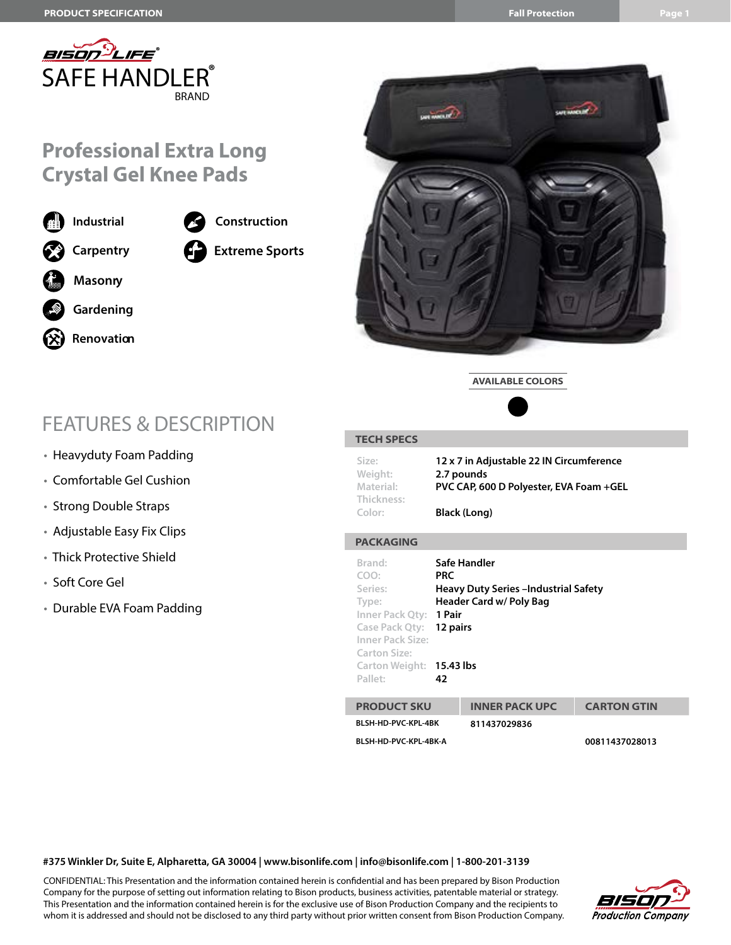

## **Professional Extra Long Crystal Gel Knee Pads**

**Extreme Sports**

**Construction**

**Industrial Carpentry Gardening Renovation Masonry**

# FEATURES & DESCRIPTION

- Heavyduty Foam Padding
- Comfortable Gel Cushion
- Strong Double Straps
- Adjustable Easy Fix Clips
- Thick Protective Shield
- Soft Core Gel
- Durable EVA Foam Padding



**AVAILABLE COLORS**



#### **TECH SPECS PACKAGING Size: 12 x 7 in Adjustable 22 IN Circumference Weight: 2.7 pounds Material: PVC CAP, 600 D Polyester, EVA Foam +GEL Thickness: Color: Black (Long) Brand: Safe Handler COO: PRC Series: Heavy Duty Series –Industrial Safety Type: Header Card w/ Poly Bag Inner Pack Qty: 1 Pair Case Pack Qty: 12 pairs Inner Pack Size: Carton Size: Carton Weight: 15.43 lbs Pallet: 42 PRODUCT SKU INNER PACK UPC CARTON GTIN BLSH-HD-PVC-KPL-4BK 811437029836 BLSH-HD-PVC-KPL-4BK-A 00811437028013**

**#375 Winkler Dr, Suite E, Alpharetta, GA 30004 | www.bisonlife.com | info@bisonlife.com | 1-800-201-3139**

CONFIDENTIAL: This Presentation and the information contained herein is confidential and has been prepared by Bison Production Company for the purpose of setting out information relating to Bison products, business activities, patentable material or strategy. This Presentation and the information contained herein is for the exclusive use of Bison Production Company and the recipients to whom it is addressed and should not be disclosed to any third party without prior written consent from Bison Production Company.